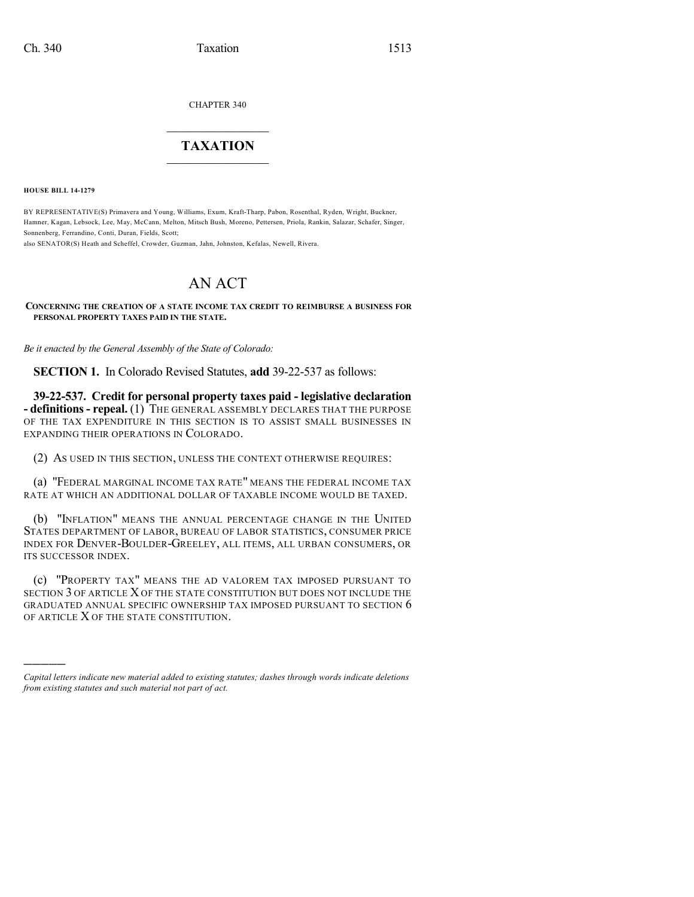CHAPTER 340

## $\overline{\phantom{a}}$  . The set of the set of the set of the set of the set of the set of the set of the set of the set of the set of the set of the set of the set of the set of the set of the set of the set of the set of the set o **TAXATION**  $\_$

**HOUSE BILL 14-1279**

)))))

BY REPRESENTATIVE(S) Primavera and Young, Williams, Exum, Kraft-Tharp, Pabon, Rosenthal, Ryden, Wright, Buckner, Hamner, Kagan, Lebsock, Lee, May, McCann, Melton, Mitsch Bush, Moreno, Pettersen, Priola, Rankin, Salazar, Schafer, Singer, Sonnenberg, Ferrandino, Conti, Duran, Fields, Scott;

also SENATOR(S) Heath and Scheffel, Crowder, Guzman, Jahn, Johnston, Kefalas, Newell, Rivera.

## AN ACT

## **CONCERNING THE CREATION OF A STATE INCOME TAX CREDIT TO REIMBURSE A BUSINESS FOR PERSONAL PROPERTY TAXES PAID IN THE STATE.**

*Be it enacted by the General Assembly of the State of Colorado:*

**SECTION 1.** In Colorado Revised Statutes, **add** 39-22-537 as follows:

**39-22-537. Credit for personal property taxes paid - legislative declaration - definitions- repeal.** (1) THE GENERAL ASSEMBLY DECLARES THAT THE PURPOSE OF THE TAX EXPENDITURE IN THIS SECTION IS TO ASSIST SMALL BUSINESSES IN EXPANDING THEIR OPERATIONS IN COLORADO.

(2) AS USED IN THIS SECTION, UNLESS THE CONTEXT OTHERWISE REQUIRES:

(a) "FEDERAL MARGINAL INCOME TAX RATE" MEANS THE FEDERAL INCOME TAX RATE AT WHICH AN ADDITIONAL DOLLAR OF TAXABLE INCOME WOULD BE TAXED.

(b) "INFLATION" MEANS THE ANNUAL PERCENTAGE CHANGE IN THE UNITED STATES DEPARTMENT OF LABOR, BUREAU OF LABOR STATISTICS, CONSUMER PRICE INDEX FOR DENVER-BOULDER-GREELEY, ALL ITEMS, ALL URBAN CONSUMERS, OR ITS SUCCESSOR INDEX.

(c) "PROPERTY TAX" MEANS THE AD VALOREM TAX IMPOSED PURSUANT TO SECTION 3 OF ARTICLE X OF THE STATE CONSTITUTION BUT DOES NOT INCLUDE THE GRADUATED ANNUAL SPECIFIC OWNERSHIP TAX IMPOSED PURSUANT TO SECTION 6 OF ARTICLE X OF THE STATE CONSTITUTION.

*Capital letters indicate new material added to existing statutes; dashes through words indicate deletions from existing statutes and such material not part of act.*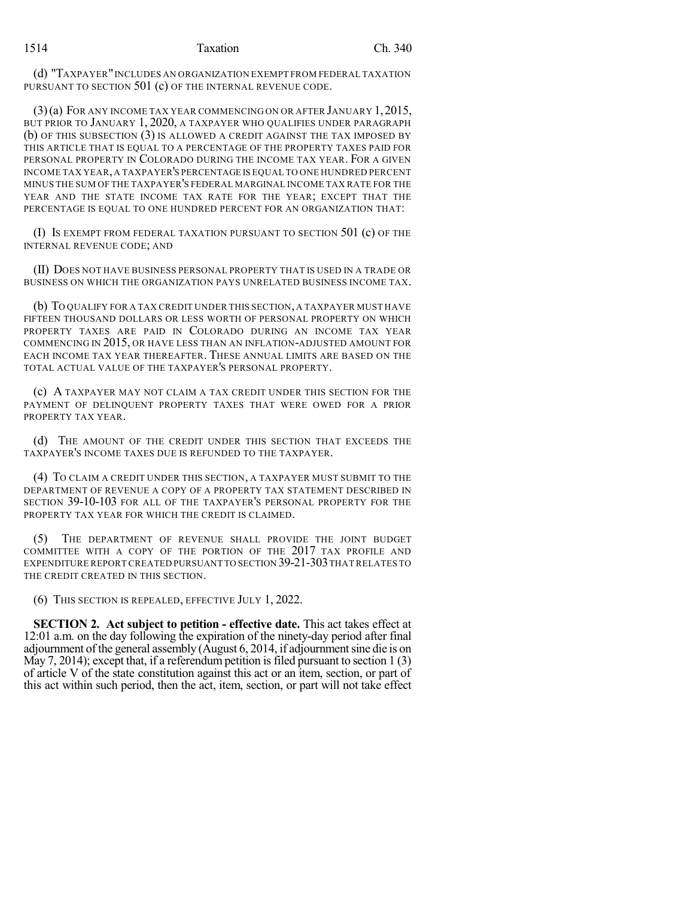(d) "TAXPAYER"INCLUDES AN ORGANIZATION EXEMPT FROM FEDERAL TAXATION PURSUANT TO SECTION 501 (c) OF THE INTERNAL REVENUE CODE.

(3)(a) FOR ANY INCOME TAX YEAR COMMENCING ON OR AFTER JANUARY 1,2015, BUT PRIOR TO JANUARY 1, 2020, A TAXPAYER WHO QUALIFIES UNDER PARAGRAPH (b) OF THIS SUBSECTION (3) IS ALLOWED A CREDIT AGAINST THE TAX IMPOSED BY THIS ARTICLE THAT IS EQUAL TO A PERCENTAGE OF THE PROPERTY TAXES PAID FOR PERSONAL PROPERTY IN COLORADO DURING THE INCOME TAX YEAR. FOR A GIVEN INCOME TAX YEAR,A TAXPAYER'S PERCENTAGE IS EQUAL TO ONE HUNDRED PERCENT MINUS THE SUM OF THE TAXPAYER'S FEDERAL MARGINAL INCOME TAX RATE FOR THE YEAR AND THE STATE INCOME TAX RATE FOR THE YEAR; EXCEPT THAT THE PERCENTAGE IS EQUAL TO ONE HUNDRED PERCENT FOR AN ORGANIZATION THAT:

(I) Is exempt from federal taxation pursuant to section  $501$  (c) of the INTERNAL REVENUE CODE; AND

(II) DOES NOT HAVE BUSINESS PERSONAL PROPERTY THAT IS USED IN A TRADE OR BUSINESS ON WHICH THE ORGANIZATION PAYS UNRELATED BUSINESS INCOME TAX.

(b) TO QUALIFY FOR A TAX CREDIT UNDER THIS SECTION, A TAXPAYER MUST HAVE FIFTEEN THOUSAND DOLLARS OR LESS WORTH OF PERSONAL PROPERTY ON WHICH PROPERTY TAXES ARE PAID IN COLORADO DURING AN INCOME TAX YEAR COMMENCING IN 2015, OR HAVE LESS THAN AN INFLATION-ADJUSTED AMOUNT FOR EACH INCOME TAX YEAR THEREAFTER. THESE ANNUAL LIMITS ARE BASED ON THE TOTAL ACTUAL VALUE OF THE TAXPAYER'S PERSONAL PROPERTY.

(c) A TAXPAYER MAY NOT CLAIM A TAX CREDIT UNDER THIS SECTION FOR THE PAYMENT OF DELINQUENT PROPERTY TAXES THAT WERE OWED FOR A PRIOR PROPERTY TAX YEAR.

(d) THE AMOUNT OF THE CREDIT UNDER THIS SECTION THAT EXCEEDS THE TAXPAYER'S INCOME TAXES DUE IS REFUNDED TO THE TAXPAYER.

(4) TO CLAIM A CREDIT UNDER THIS SECTION, A TAXPAYER MUST SUBMIT TO THE DEPARTMENT OF REVENUE A COPY OF A PROPERTY TAX STATEMENT DESCRIBED IN SECTION 39-10-103 FOR ALL OF THE TAXPAYER'S PERSONAL PROPERTY FOR THE PROPERTY TAX YEAR FOR WHICH THE CREDIT IS CLAIMED.

(5) THE DEPARTMENT OF REVENUE SHALL PROVIDE THE JOINT BUDGET COMMITTEE WITH A COPY OF THE PORTION OF THE 2017 TAX PROFILE AND EXPENDITURE REPORT CREATED PURSUANT TO SECTION 39-21-303 THAT RELATES TO THE CREDIT CREATED IN THIS SECTION.

(6) THIS SECTION IS REPEALED, EFFECTIVE JULY 1, 2022.

**SECTION 2. Act subject to petition - effective date.** This act takes effect at 12:01 a.m. on the day following the expiration of the ninety-day period after final adjournment of the general assembly (August 6, 2014, if adjournment sine die is on May 7, 2014); except that, if a referendum petition is filed pursuant to section  $1(3)$ of article V of the state constitution against this act or an item, section, or part of this act within such period, then the act, item, section, or part will not take effect